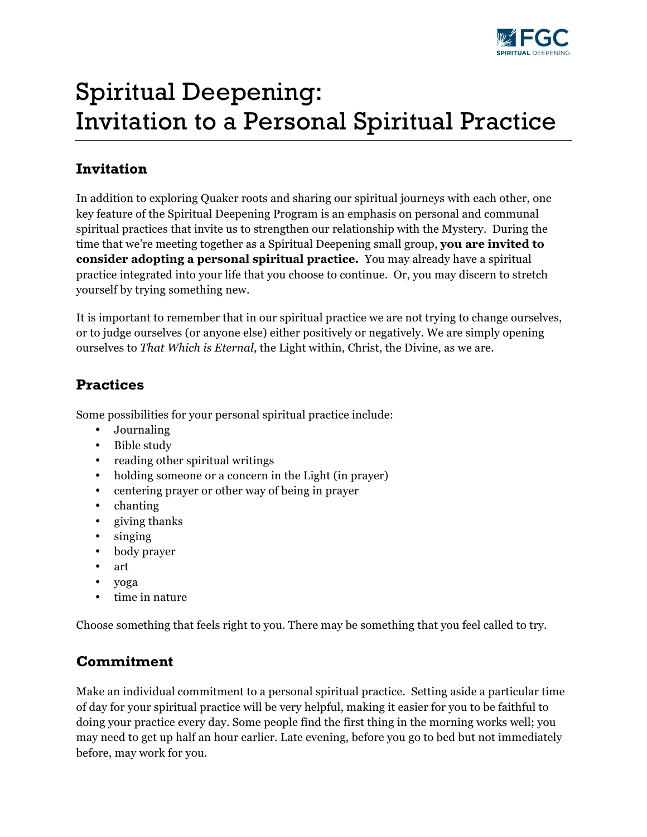

# Spiritual Deepening: Invitation to a Personal Spiritual Practice

#### **Invitation**

In addition to exploring Quaker roots and sharing our spiritual journeys with each other, one key feature of the Spiritual Deepening Program is an emphasis on personal and communal spiritual practices that invite us to strengthen our relationship with the Mystery. During the time that we're meeting together as a Spiritual Deepening small group, **you are invited to consider adopting a personal spiritual practice.** You may already have a spiritual practice integrated into your life that you choose to continue. Or, you may discern to stretch yourself by trying something new.

It is important to remember that in our spiritual practice we are not trying to change ourselves, or to judge ourselves (or anyone else) either positively or negatively. We are simply opening ourselves to *That Which is Eternal*, the Light within, Christ, the Divine, as we are.

### **Practices**

Some possibilities for your personal spiritual practice include:

- Journaling
- Bible study
- reading other spiritual writings
- holding someone or a concern in the Light (in prayer)
- centering prayer or other way of being in prayer
- chanting
- giving thanks
- singing
- body prayer
- art
- yoga
- time in nature

Choose something that feels right to you. There may be something that you feel called to try.

## **Commitment**

Make an individual commitment to a personal spiritual practice. Setting aside a particular time of day for your spiritual practice will be very helpful, making it easier for you to be faithful to doing your practice every day. Some people find the first thing in the morning works well; you may need to get up half an hour earlier. Late evening, before you go to bed but not immediately before, may work for you.